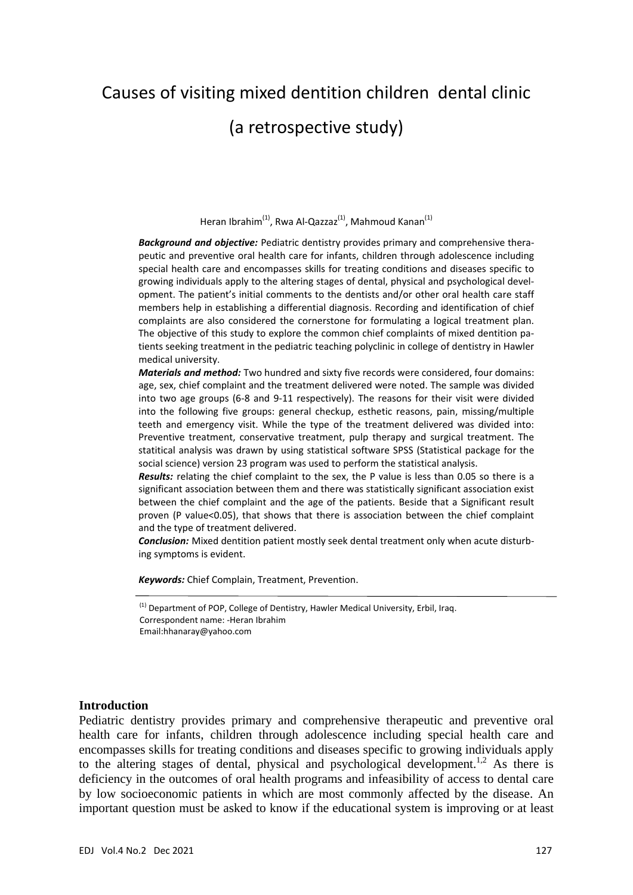# Causes of visiting mixed dentition children dental clinic

# (a retrospective study)

Heran Ibrahim<sup>(1)</sup>, Rwa Al-Qazzaz<sup>(1)</sup>, Mahmoud Kanan<sup>(1)</sup>

*Background and objective:* Pediatric dentistry provides primary and comprehensive thera‐ peutic and preventive oral health care for infants, children through adolescence including special health care and encompasses skills for treating conditions and diseases specific to growing individuals apply to the altering stages of dental, physical and psychological devel‐ opment. The patient's initial comments to the dentists and/or other oral health care staff members help in establishing a differential diagnosis. Recording and identification of chief complaints are also considered the cornerstone for formulating a logical treatment plan. The objective of this study to explore the common chief complaints of mixed dentition pa‐ tients seeking treatment in the pediatric teaching polyclinic in college of dentistry in Hawler medical university.

*Materials and method:* Two hundred and sixty five records were considered, four domains: age, sex, chief complaint and the treatment delivered were noted. The sample was divided into two age groups (6‐8 and 9‐11 respectively). The reasons for their visit were divided into the following five groups: general checkup, esthetic reasons, pain, missing/multiple teeth and emergency visit. While the type of the treatment delivered was divided into: Preventive treatment, conservative treatment, pulp therapy and surgical treatment. The statitical analysis was drawn by using statistical software SPSS (Statistical package for the social science) version 23 program was used to perform the statistical analysis.

*Results:* relating the chief complaint to the sex, the P value is less than 0.05 so there is a significant association between them and there was statistically significant association exist between the chief complaint and the age of the patients. Beside that a Significant result proven (P value<0.05), that shows that there is association between the chief complaint and the type of treatment delivered.

**Conclusion:** Mixed dentition patient mostly seek dental treatment only when acute disturbing symptoms is evident.

*Keywords:* Chief Complain, Treatment, Prevention.

 $<sup>(1)</sup>$  Department of POP, College of Dentistry, Hawler Medical University, Erbil, Iraq.</sup> Correspondent name: ‐Heran Ibrahim Email:hhanaray@yahoo.com

#### **Introduction**

Pediatric dentistry provides primary and comprehensive therapeutic and preventive oral health care for infants, children through adolescence including special health care and encompasses skills for treating conditions and diseases specific to growing individuals apply to the altering stages of dental, physical and psychological development.<sup>1,2</sup> As there is deficiency in the outcomes of oral health programs and infeasibility of access to dental care by low socioeconomic patients in which are most commonly affected by the disease. An important question must be asked to know if the educational system is improving or at least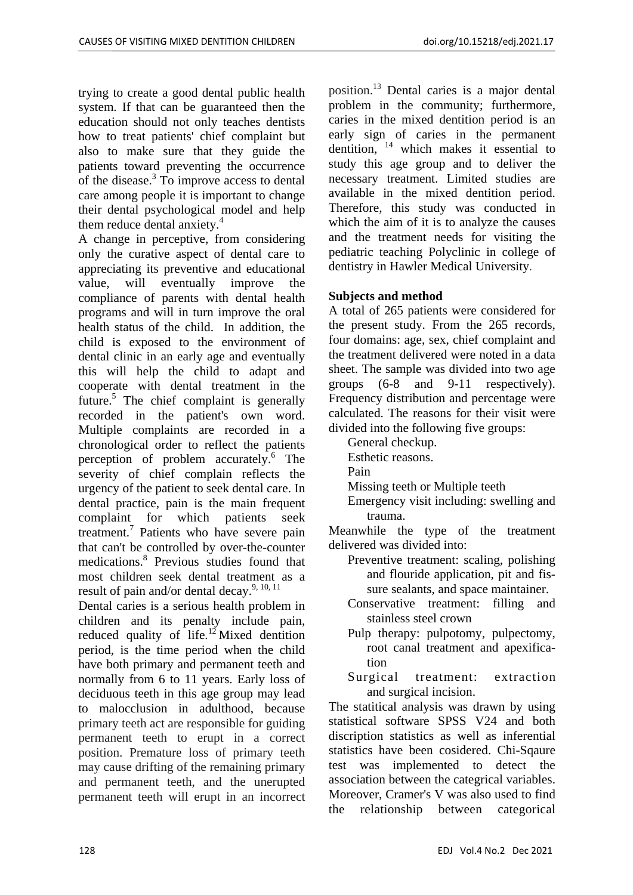trying to create a good dental public health system. If that can be guaranteed then the education should not only teaches dentists how to treat patients' chief complaint but also to make sure that they guide the patients toward preventing the occurrence of the disease.<sup>3</sup> To improve access to dental care among people it is important to change their dental psychological model and help them reduce dental anxiety.<sup>4</sup>

A change in perceptive, from considering only the curative aspect of dental care to appreciating its preventive and educational value, will eventually improve the compliance of parents with dental health programs and will in turn improve the oral health status of the child. In addition, the child is exposed to the environment of dental clinic in an early age and eventually this will help the child to adapt and cooperate with dental treatment in the future.<sup>5</sup> The chief complaint is generally recorded in the patient's own word. Multiple complaints are recorded in a chronological order to reflect the patients perception of problem accurately.<sup>6</sup> The severity of chief complain reflects the urgency of the patient to seek dental care. In dental practice, pain is the main frequent complaint for which patients seek treatment.7 Patients who have severe pain that can't be controlled by over-the-counter medications.8 Previous studies found that most children seek dental treatment as a result of pain and/or dental decay.<sup>9, 10, 11</sup>

Dental caries is a serious health problem in children and its penalty include pain, reduced quality of life.<sup>12</sup> Mixed dentition period, is the time period when the child have both primary and permanent teeth and normally from 6 to 11 years. Early loss of deciduous teeth in this age group may lead to malocclusion in adulthood, because primary teeth act are responsible for guiding permanent teeth to erupt in a correct position. Premature loss of primary teeth may cause drifting of the remaining primary and permanent teeth, and the unerupted permanent teeth will erupt in an incorrect

position.13 Dental caries is a major dental problem in the community; furthermore, caries in the mixed dentition period is an early sign of caries in the permanent dentition,  $14$  which makes it essential to study this age group and to deliver the necessary treatment. Limited studies are available in the mixed dentition period. Therefore, this study was conducted in which the aim of it is to analyze the causes and the treatment needs for visiting the pediatric teaching Polyclinic in college of dentistry in Hawler Medical University.

### **Subjects and method**

A total of 265 patients were considered for the present study. From the 265 records, four domains: age, sex, chief complaint and the treatment delivered were noted in a data sheet. The sample was divided into two age groups (6-8 and 9-11 respectively). Frequency distribution and percentage were calculated. The reasons for their visit were divided into the following five groups:

- General checkup.
- Esthetic reasons.
- Pain
- Missing teeth or Multiple teeth
- Emergency visit including: swelling and trauma.

Meanwhile the type of the treatment delivered was divided into:

- Preventive treatment: scaling, polishing and flouride application, pit and fissure sealants, and space maintainer.
- Conservative treatment: filling and stainless steel crown
- Pulp therapy: pulpotomy, pulpectomy, root canal treatment and apexification
- Surgical treatment: extraction and surgical incision.

The statitical analysis was drawn by using statistical software SPSS V24 and both discription statistics as well as inferential statistics have been cosidered. Chi-Sqaure test was implemented to detect the association between the categrical variables. Moreover, Cramer's V was also used to find the relationship between categorical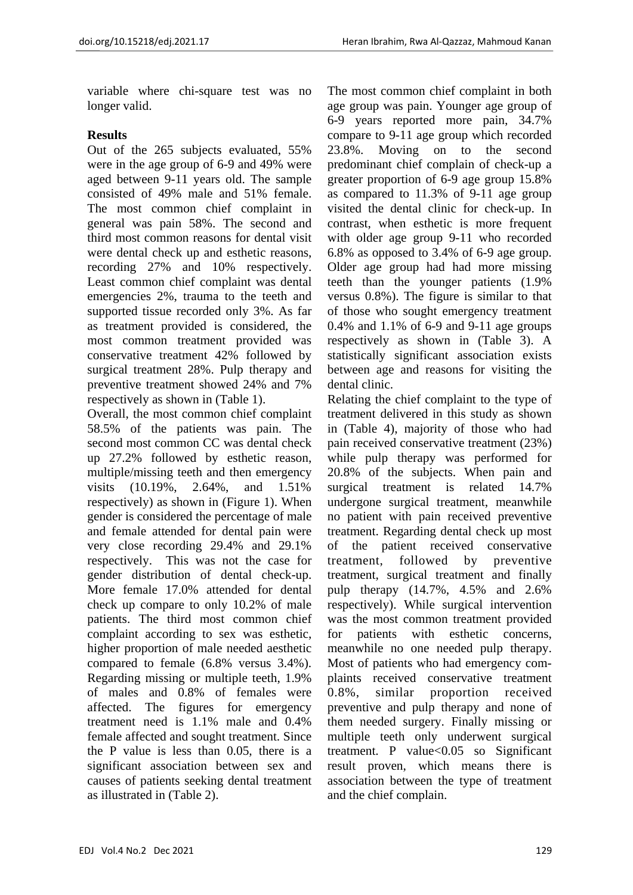variable where chi-square test was no longer valid.

#### **Results**

Out of the 265 subjects evaluated, 55% were in the age group of 6-9 and 49% were aged between 9-11 years old. The sample consisted of 49% male and 51% female. The most common chief complaint in general was pain 58%. The second and third most common reasons for dental visit were dental check up and esthetic reasons, recording 27% and 10% respectively. Least common chief complaint was dental emergencies 2%, trauma to the teeth and supported tissue recorded only 3%. As far as treatment provided is considered, the most common treatment provided was conservative treatment 42% followed by surgical treatment 28%. Pulp therapy and preventive treatment showed 24% and 7% respectively as shown in (Table 1).

Overall, the most common chief complaint 58.5% of the patients was pain. The second most common CC was dental check up 27.2% followed by esthetic reason, multiple/missing teeth and then emergency visits (10.19%, 2.64%, and 1.51% respectively) as shown in (Figure 1). When gender is considered the percentage of male and female attended for dental pain were very close recording 29.4% and 29.1% respectively. This was not the case for gender distribution of dental check-up. More female 17.0% attended for dental check up compare to only 10.2% of male patients. The third most common chief complaint according to sex was esthetic, higher proportion of male needed aesthetic compared to female (6.8% versus 3.4%). Regarding missing or multiple teeth, 1.9% of males and 0.8% of females were affected. The figures for emergency treatment need is 1.1% male and 0.4% female affected and sought treatment. Since the P value is less than 0.05, there is a significant association between sex and causes of patients seeking dental treatment as illustrated in (Table 2).

The most common chief complaint in both age group was pain. Younger age group of 6-9 years reported more pain, 34.7% compare to 9-11 age group which recorded 23.8%. Moving on to the second predominant chief complain of check-up a greater proportion of 6-9 age group 15.8% as compared to 11.3% of 9-11 age group visited the dental clinic for check-up. In contrast, when esthetic is more frequent with older age group 9-11 who recorded 6.8% as opposed to 3.4% of 6-9 age group. Older age group had had more missing teeth than the younger patients (1.9% versus 0.8%). The figure is similar to that of those who sought emergency treatment 0.4% and 1.1% of 6-9 and 9-11 age groups respectively as shown in (Table 3). A statistically significant association exists between age and reasons for visiting the dental clinic.

Relating the chief complaint to the type of treatment delivered in this study as shown in (Table 4), majority of those who had pain received conservative treatment (23%) while pulp therapy was performed for 20.8% of the subjects. When pain and surgical treatment is related 14.7% undergone surgical treatment, meanwhile no patient with pain received preventive treatment. Regarding dental check up most of the patient received conservative treatment, followed by preventive treatment, surgical treatment and finally pulp therapy (14.7%, 4.5% and 2.6% respectively). While surgical intervention was the most common treatment provided for patients with esthetic concerns, meanwhile no one needed pulp therapy. Most of patients who had emergency complaints received conservative treatment 0.8%, similar proportion received preventive and pulp therapy and none of them needed surgery. Finally missing or multiple teeth only underwent surgical treatment. P value<0.05 so Significant result proven, which means there is association between the type of treatment and the chief complain.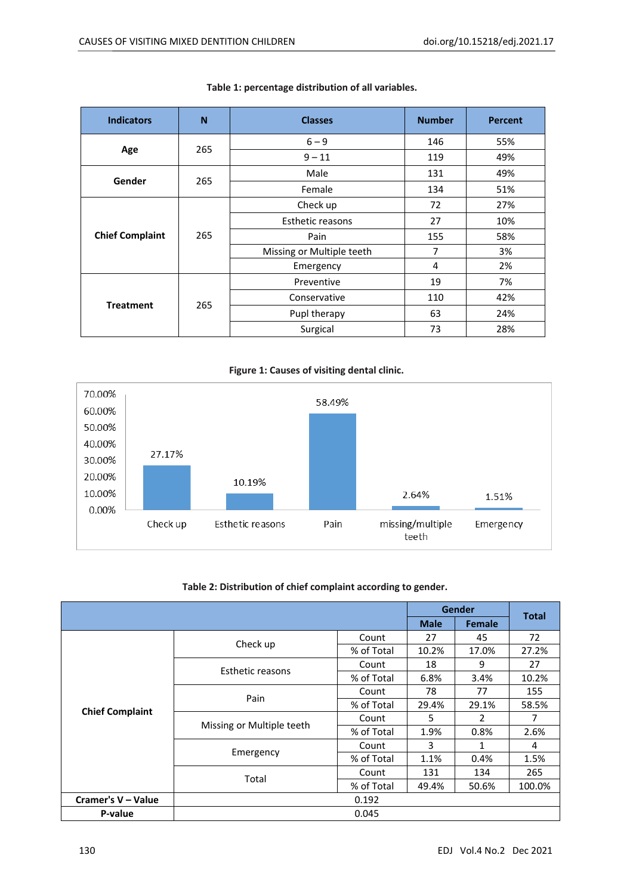| <b>Indicators</b>      | N   | <b>Classes</b>            | <b>Number</b> | <b>Percent</b> |  |
|------------------------|-----|---------------------------|---------------|----------------|--|
|                        |     | $6 - 9$                   | 146           | 55%            |  |
| Age                    | 265 | $9 - 11$                  | 119           | 49%            |  |
|                        | 265 | Male                      | 131           | 49%            |  |
| Gender                 |     | Female                    | 134           | 51%            |  |
|                        | 265 | Check up                  | 72            | 27%            |  |
| <b>Chief Complaint</b> |     | Esthetic reasons          | 27            | 10%            |  |
|                        |     | Pain                      | 155           | 58%            |  |
|                        |     | Missing or Multiple teeth | 7             | 3%             |  |
|                        |     | Emergency                 | 4             | 2%             |  |
|                        |     | Preventive                | 19            | 7%             |  |
| <b>Treatment</b>       | 265 | Conservative              | 110           | 42%            |  |
|                        |     | Pupl therapy              | 63            | 24%            |  |
|                        |     | Surgical                  | 73            | 28%            |  |

#### **Table 1: percentage distribution of all variables.**



#### **Table 2: Distribution of chief complaint according to gender.**

|                        |                           |            | Gender |               | <b>Total</b> |
|------------------------|---------------------------|------------|--------|---------------|--------------|
|                        |                           |            |        | <b>Female</b> |              |
|                        | Check up                  | Count      | 27     | 45            | 72           |
|                        |                           | % of Total | 10.2%  | 17.0%         | 27.2%        |
|                        | Esthetic reasons          | Count      | 18     | 9             | 27           |
|                        |                           | % of Total | 6.8%   | 3.4%          | 10.2%        |
|                        |                           | Count      | 78     | 77            | 155          |
| <b>Chief Complaint</b> | Pain                      | % of Total | 29.4%  | 29.1%         | 58.5%        |
|                        |                           | Count      | 5      | 2             | 7            |
|                        | Missing or Multiple teeth | % of Total | 1.9%   | 0.8%          | 2.6%         |
|                        |                           | Count      | 3      | 1             | 4            |
|                        | Emergency                 | % of Total | 1.1%   | 0.4%          | 1.5%         |
|                        |                           | Count      | 131    | 134           | 265          |
|                        | Total<br>% of Total       |            | 49.4%  | 50.6%         | 100.0%       |
| Cramer's V - Value     |                           | 0.192      |        |               |              |
| P-value                |                           | 0.045      |        |               |              |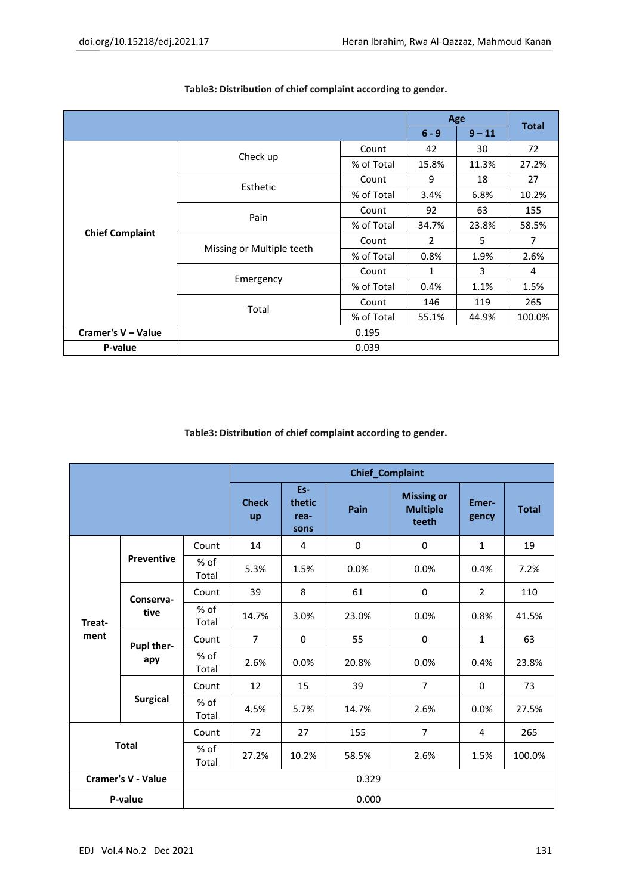|                        |                           |            |                | Age      |              |
|------------------------|---------------------------|------------|----------------|----------|--------------|
|                        |                           |            |                | $9 - 11$ | <b>Total</b> |
|                        | Check up                  | Count      | 42             | 30       | 72           |
|                        |                           | % of Total | 15.8%          | 11.3%    | 27.2%        |
|                        |                           | Count      | 9              | 18       | 27           |
|                        | Esthetic                  | % of Total | 3.4%           | 6.8%     | 10.2%        |
|                        |                           | Count      | 92             | 63       | 155          |
| <b>Chief Complaint</b> | Pain                      | % of Total | 34.7%          | 23.8%    | 58.5%        |
|                        |                           | Count      | $\overline{2}$ | 5        | 7            |
|                        | Missing or Multiple teeth | % of Total | 0.8%           | 1.9%     | 2.6%         |
|                        |                           | Count      | 1              | 3        | 4            |
|                        | Emergency                 | % of Total | 0.4%           | 1.1%     | 1.5%         |
|                        |                           | Count      | 146            | 119      | 265          |
|                        | Total<br>% of Total       |            | 55.1%          | 44.9%    | 100.0%       |
| Cramer's V - Value     |                           | 0.195      |                |          |              |
| P-value                |                           | 0.039      |                |          |              |

#### **Table3: Distribution of chief complaint according to gender.**

**Table3: Distribution of chief complaint according to gender.**

|                           |                   | <b>Chief_Complaint</b> |                    |                               |             |                                               |                |              |
|---------------------------|-------------------|------------------------|--------------------|-------------------------------|-------------|-----------------------------------------------|----------------|--------------|
|                           |                   |                        | <b>Check</b><br>up | Es-<br>thetic<br>rea-<br>sons | Pain        | <b>Missing or</b><br><b>Multiple</b><br>teeth | Emer-<br>gency | <b>Total</b> |
| Treat-<br>ment            | <b>Preventive</b> | Count                  | 14                 | 4                             | $\mathbf 0$ | $\mathbf 0$                                   | $\mathbf{1}$   | 19           |
|                           |                   | % of<br>Total          | 5.3%               | 1.5%                          | 0.0%        | 0.0%                                          | 0.4%           | 7.2%         |
|                           | Conserva-<br>tive | Count                  | 39                 | 8                             | 61          | $\mathbf 0$                                   | $\overline{2}$ | 110          |
|                           |                   | % of<br>Total          | 14.7%              | 3.0%                          | 23.0%       | 0.0%                                          | 0.8%           | 41.5%        |
|                           | Pupl ther-<br>apy | Count                  | $\overline{7}$     | $\Omega$                      | 55          | $\Omega$                                      | $\mathbf{1}$   | 63           |
|                           |                   | % of<br>Total          | 2.6%               | 0.0%                          | 20.8%       | 0.0%                                          | 0.4%           | 23.8%        |
|                           | <b>Surgical</b>   | Count                  | 12                 | 15                            | 39          | $\overline{7}$                                | $\Omega$       | 73           |
|                           |                   | % of<br>Total          | 4.5%               | 5.7%                          | 14.7%       | 2.6%                                          | 0.0%           | 27.5%        |
| <b>Total</b>              |                   | Count                  | 72                 | 27                            | 155         | $\overline{7}$                                | 4              | 265          |
|                           |                   | % of<br>Total          | 27.2%              | 10.2%                         | 58.5%       | 2.6%                                          | 1.5%           | 100.0%       |
| <b>Cramer's V - Value</b> |                   |                        | 0.329              |                               |             |                                               |                |              |
| P-value                   |                   | 0.000                  |                    |                               |             |                                               |                |              |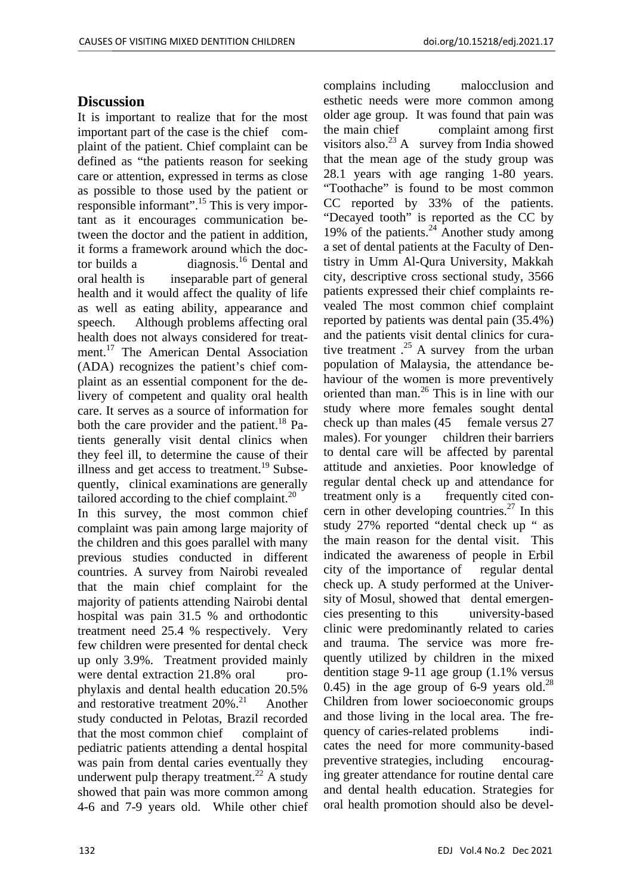## **Discussion**

It is important to realize that for the most important part of the case is the chief complaint of the patient. Chief complaint can be defined as "the patients reason for seeking care or attention, expressed in terms as close as possible to those used by the patient or responsible informant".15 This is very important as it encourages communication between the doctor and the patient in addition, it forms a framework around which the doctor builds a diagnosis.<sup>16</sup> Dental and oral health is inseparable part of general health and it would affect the quality of life as well as eating ability, appearance and speech. Although problems affecting oral health does not always considered for treatment.<sup>17</sup> The American Dental Association (ADA) recognizes the patient's chief complaint as an essential component for the delivery of competent and quality oral health care. It serves as a source of information for both the care provider and the patient.<sup>18</sup> Patients generally visit dental clinics when they feel ill, to determine the cause of their illness and get access to treatment.<sup>19</sup> Subsequently, clinical examinations are generally tailored according to the chief complaint. $^{20}$ In this survey, the most common chief complaint was pain among large majority of the children and this goes parallel with many previous studies conducted in different countries. A survey from Nairobi revealed that the main chief complaint for the majority of patients attending Nairobi dental hospital was pain 31.5 % and orthodontic treatment need 25.4 % respectively. Very few children were presented for dental check up only 3.9%. Treatment provided mainly were dental extraction 21.8% oral prophylaxis and dental health education 20.5% and restorative treatment  $20\%$ <sup>21</sup> Another study conducted in Pelotas, Brazil recorded that the most common chief complaint of pediatric patients attending a dental hospital was pain from dental caries eventually they underwent pulp therapy treatment.<sup>22</sup> A study showed that pain was more common among

4-6 and 7-9 years old. While other chief

complains including malocclusion and esthetic needs were more common among older age group. It was found that pain was the main chief complaint among first visitors also.<sup>23</sup> A survey from India showed that the mean age of the study group was 28.1 years with age ranging 1-80 years. "Toothache" is found to be most common CC reported by 33% of the patients. "Decayed tooth" is reported as the CC by 19% of the patients.<sup>24</sup> Another study among a set of dental patients at the Faculty of Dentistry in Umm Al-Qura University, Makkah city, descriptive cross sectional study, 3566 patients expressed their chief complaints revealed The most common chief complaint reported by patients was dental pain (35.4%) and the patients visit dental clinics for curative treatment  $.25$  A survey from the urban population of Malaysia, the attendance behaviour of the women is more preventively oriented than man.26 This is in line with our study where more females sought dental check up than males (45 female versus 27 males). For younger children their barriers to dental care will be affected by parental attitude and anxieties. Poor knowledge of regular dental check up and attendance for treatment only is a frequently cited concern in other developing countries.<sup>27</sup> In this study 27% reported "dental check up " as the main reason for the dental visit. This indicated the awareness of people in Erbil city of the importance of regular dental check up. A study performed at the University of Mosul, showed that dental emergencies presenting to this university-based clinic were predominantly related to caries and trauma. The service was more frequently utilized by children in the mixed dentition stage 9-11 age group (1.1% versus 0.45) in the age group of 6-9 years old.<sup>28</sup> Children from lower socioeconomic groups and those living in the local area. The frequency of caries-related problems indicates the need for more community-based preventive strategies, including encouraging greater attendance for routine dental care and dental health education. Strategies for oral health promotion should also be devel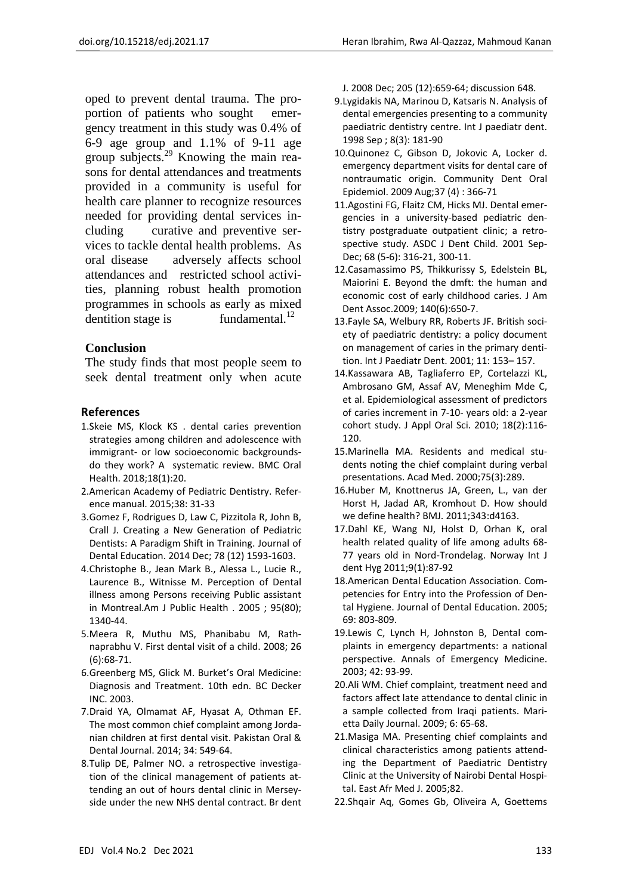oped to prevent dental trauma. The proportion of patients who sought emergency treatment in this study was 0.4% of 6-9 age group and 1.1% of 9-11 age group subjects.<sup>29</sup> Knowing the main reasons for dental attendances and treatments provided in a community is useful for health care planner to recognize resources needed for providing dental services including curative and preventive services to tackle dental health problems. As oral disease adversely affects school attendances and restricted school activities, planning robust health promotion programmes in schools as early as mixed dentition stage is  $fundamental.<sup>12</sup>$ 

#### **Conclusion**

The study finds that most people seem to seek dental treatment only when acute

#### **References**

- 1.Skeie MS, Klock KS . dental caries prevention strategies among children and adolescence with immigrant- or low socioeconomic backgroundsdo they work? A systematic review. BMC Oral Health. 2018;18(1):20.
- 2.American Academy of Pediatric Dentistry. Refer‐ ence manual. 2015;38: 31‐33
- 3.Gomez F, Rodrigues D, Law C, Pizzitola R, John B, Crall J. Creating a New Generation of Pediatric Dentists: A Paradigm Shift in Training. Journal of Dental Education. 2014 Dec; 78 (12) 1593‐1603.
- 4.Christophe B., Jean Mark B., Alessa L., Lucie R., Laurence B., Witnisse M. Perception of Dental illness among Persons receiving Public assistant in Montreal.Am J Public Health . 2005 ; 95(80); 1340‐44.
- 5.Meera R, Muthu MS, Phanibabu M, Rath‐ naprabhu V. First dental visit of a child. 2008; 26 (6):68‐71.
- 6.Greenberg MS, Glick M. Burket's Oral Medicine: Diagnosis and Treatment. 10th edn. BC Decker INC. 2003.
- 7.Draid YA, Olmamat AF, Hyasat A, Othman EF. The most common chief complaint among Jorda‐ nian children at first dental visit. Pakistan Oral & Dental Journal. 2014; 34: 549‐64.
- 8.Tulip DE, Palmer NO. a retrospective investiga‐ tion of the clinical management of patients at‐ tending an out of hours dental clinic in Mersey‐ side under the new NHS dental contract. Br dent

J. 2008 Dec; 205 (12):659‐64; discussion 648.

- 9.Lygidakis NA, Marinou D, Katsaris N. Analysis of dental emergencies presenting to a community paediatric dentistry centre. Int J paediatr dent. 1998 Sep ; 8(3): 181‐90
- 10.Quinonez C, Gibson D, Jokovic A, Locker d. emergency department visits for dental care of nontraumatic origin. Community Dent Oral Epidemiol. 2009 Aug;37 (4) : 366‐71
- 11.Agostini FG, Flaitz CM, Hicks MJ. Dental emer‐ gencies in a university‐based pediatric den‐ tistry postgraduate outpatient clinic; a retro‐ spective study. ASDC J Dent Child. 2001 Sep-Dec; 68 (5-6): 316-21, 300-11.
- 12.Casamassimo PS, Thikkurissy S, Edelstein BL, Maiorini E. Beyond the dmft: the human and economic cost of early childhood caries. J Am Dent Assoc.2009; 140(6):650‐7.
- 13.Fayle SA, Welbury RR, Roberts JF. British soci‐ ety of paediatric dentistry: a policy document on management of caries in the primary denti‐ tion. Int J Paediatr Dent. 2001; 11: 153– 157.
- 14.Kassawara AB, Tagliaferro EP, Cortelazzi KL, Ambrosano GM, Assaf AV, Meneghim Mde C, et al. Epidemiological assessment of predictors of caries increment in 7‐10‐ years old: a 2‐year cohort study. J Appl Oral Sci. 2010; 18(2):116‐ 120.
- 15.Marinella MA. Residents and medical stu‐ dents noting the chief complaint during verbal presentations. Acad Med. 2000;75(3):289.
- 16.Huber M, Knottnerus JA, Green, L., van der Horst H, Jadad AR, Kromhout D. How should we define health? BMJ. 2011;343:d4163.
- 17.Dahl KE, Wang NJ, Holst D, Orhan K, oral health related quality of life among adults 68‐ 77 years old in Nord-Trondelag. Norway Int J dent Hyg 2011;9(1):87‐92
- 18.American Dental Education Association. Com‐ petencies for Entry into the Profession of Den‐ tal Hygiene. Journal of Dental Education. 2005; 69: 803‐809.
- 19.Lewis C, Lynch H, Johnston B, Dental com‐ plaints in emergency departments: a national perspective. Annals of Emergency Medicine. 2003; 42: 93‐99.
- 20.Ali WM. Chief complaint, treatment need and factors affect late attendance to dental clinic in a sample collected from Iraqi patients. Mari‐ etta Daily Journal. 2009; 6: 65‐68.
- 21.Masiga MA. Presenting chief complaints and clinical characteristics among patients attend‐ ing the Department of Paediatric Dentistry Clinic at the University of Nairobi Dental Hospi‐ tal. East Afr Med J. 2005;82.
- 22.Shqair Aq, Gomes Gb, Oliveira A, Goettems